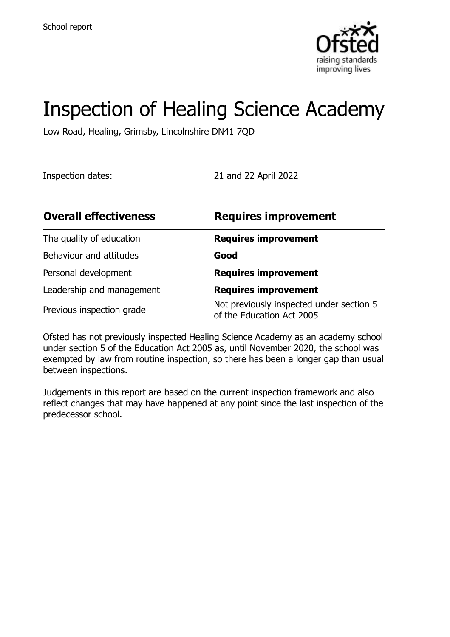

# Inspection of Healing Science Academy

Low Road, Healing, Grimsby, Lincolnshire DN41 7QD

Inspection dates: 21 and 22 April 2022

| <b>Overall effectiveness</b> | <b>Requires improvement</b>                                           |  |
|------------------------------|-----------------------------------------------------------------------|--|
| The quality of education     | <b>Requires improvement</b>                                           |  |
| Behaviour and attitudes      | Good                                                                  |  |
| Personal development         | <b>Requires improvement</b>                                           |  |
| Leadership and management    | <b>Requires improvement</b>                                           |  |
| Previous inspection grade    | Not previously inspected under section 5<br>of the Education Act 2005 |  |

Ofsted has not previously inspected Healing Science Academy as an academy school under section 5 of the Education Act 2005 as, until November 2020, the school was exempted by law from routine inspection, so there has been a longer gap than usual between inspections.

Judgements in this report are based on the current inspection framework and also reflect changes that may have happened at any point since the last inspection of the predecessor school.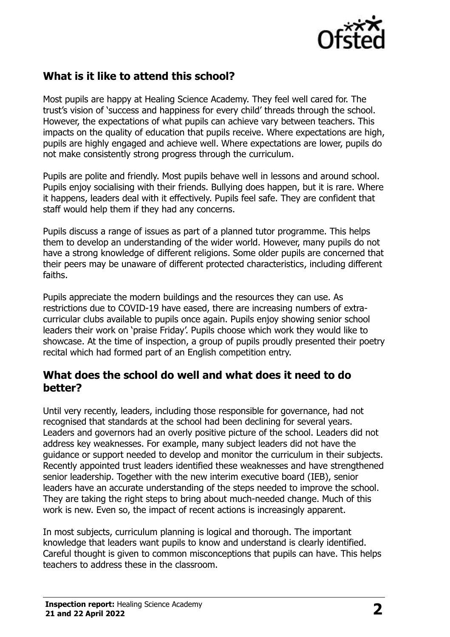

# **What is it like to attend this school?**

Most pupils are happy at Healing Science Academy. They feel well cared for. The trust's vision of 'success and happiness for every child' threads through the school. However, the expectations of what pupils can achieve vary between teachers. This impacts on the quality of education that pupils receive. Where expectations are high, pupils are highly engaged and achieve well. Where expectations are lower, pupils do not make consistently strong progress through the curriculum.

Pupils are polite and friendly. Most pupils behave well in lessons and around school. Pupils enjoy socialising with their friends. Bullying does happen, but it is rare. Where it happens, leaders deal with it effectively. Pupils feel safe. They are confident that staff would help them if they had any concerns.

Pupils discuss a range of issues as part of a planned tutor programme. This helps them to develop an understanding of the wider world. However, many pupils do not have a strong knowledge of different religions. Some older pupils are concerned that their peers may be unaware of different protected characteristics, including different faiths.

Pupils appreciate the modern buildings and the resources they can use. As restrictions due to COVID-19 have eased, there are increasing numbers of extracurricular clubs available to pupils once again. Pupils enjoy showing senior school leaders their work on 'praise Friday'. Pupils choose which work they would like to showcase. At the time of inspection, a group of pupils proudly presented their poetry recital which had formed part of an English competition entry.

#### **What does the school do well and what does it need to do better?**

Until very recently, leaders, including those responsible for governance, had not recognised that standards at the school had been declining for several years. Leaders and governors had an overly positive picture of the school. Leaders did not address key weaknesses. For example, many subject leaders did not have the guidance or support needed to develop and monitor the curriculum in their subjects. Recently appointed trust leaders identified these weaknesses and have strengthened senior leadership. Together with the new interim executive board (IEB), senior leaders have an accurate understanding of the steps needed to improve the school. They are taking the right steps to bring about much-needed change. Much of this work is new. Even so, the impact of recent actions is increasingly apparent.

In most subjects, curriculum planning is logical and thorough. The important knowledge that leaders want pupils to know and understand is clearly identified. Careful thought is given to common misconceptions that pupils can have. This helps teachers to address these in the classroom.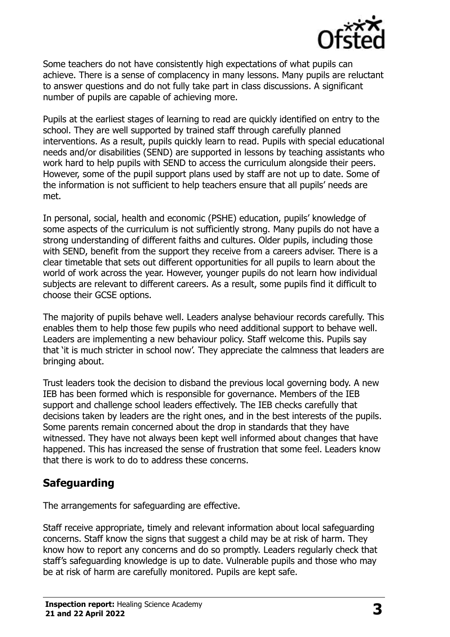

Some teachers do not have consistently high expectations of what pupils can achieve. There is a sense of complacency in many lessons. Many pupils are reluctant to answer questions and do not fully take part in class discussions. A significant number of pupils are capable of achieving more.

Pupils at the earliest stages of learning to read are quickly identified on entry to the school. They are well supported by trained staff through carefully planned interventions. As a result, pupils quickly learn to read. Pupils with special educational needs and/or disabilities (SEND) are supported in lessons by teaching assistants who work hard to help pupils with SEND to access the curriculum alongside their peers. However, some of the pupil support plans used by staff are not up to date. Some of the information is not sufficient to help teachers ensure that all pupils' needs are met.

In personal, social, health and economic (PSHE) education, pupils' knowledge of some aspects of the curriculum is not sufficiently strong. Many pupils do not have a strong understanding of different faiths and cultures. Older pupils, including those with SEND, benefit from the support they receive from a careers adviser. There is a clear timetable that sets out different opportunities for all pupils to learn about the world of work across the year. However, younger pupils do not learn how individual subjects are relevant to different careers. As a result, some pupils find it difficult to choose their GCSE options.

The majority of pupils behave well. Leaders analyse behaviour records carefully. This enables them to help those few pupils who need additional support to behave well. Leaders are implementing a new behaviour policy. Staff welcome this. Pupils say that 'it is much stricter in school now'. They appreciate the calmness that leaders are bringing about.

Trust leaders took the decision to disband the previous local governing body. A new IEB has been formed which is responsible for governance. Members of the IEB support and challenge school leaders effectively. The IEB checks carefully that decisions taken by leaders are the right ones, and in the best interests of the pupils. Some parents remain concerned about the drop in standards that they have witnessed. They have not always been kept well informed about changes that have happened. This has increased the sense of frustration that some feel. Leaders know that there is work to do to address these concerns.

### **Safeguarding**

The arrangements for safeguarding are effective.

Staff receive appropriate, timely and relevant information about local safeguarding concerns. Staff know the signs that suggest a child may be at risk of harm. They know how to report any concerns and do so promptly. Leaders regularly check that staff's safeguarding knowledge is up to date. Vulnerable pupils and those who may be at risk of harm are carefully monitored. Pupils are kept safe.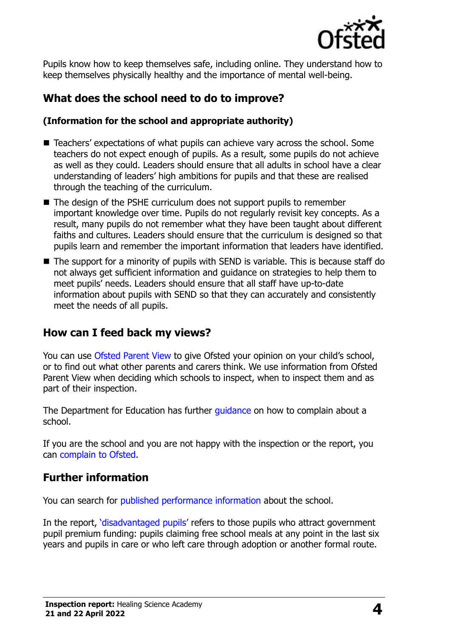

Pupils know how to keep themselves safe, including online. They understand how to keep themselves physically healthy and the importance of mental well-being.

# **What does the school need to do to improve?**

#### **(Information for the school and appropriate authority)**

- Teachers' expectations of what pupils can achieve vary across the school. Some teachers do not expect enough of pupils. As a result, some pupils do not achieve as well as they could. Leaders should ensure that all adults in school have a clear understanding of leaders' high ambitions for pupils and that these are realised through the teaching of the curriculum.
- The design of the PSHE curriculum does not support pupils to remember important knowledge over time. Pupils do not regularly revisit key concepts. As a result, many pupils do not remember what they have been taught about different faiths and cultures. Leaders should ensure that the curriculum is designed so that pupils learn and remember the important information that leaders have identified.
- The support for a minority of pupils with SEND is variable. This is because staff do not always get sufficient information and guidance on strategies to help them to meet pupils' needs. Leaders should ensure that all staff have up-to-date information about pupils with SEND so that they can accurately and consistently meet the needs of all pupils.

### **How can I feed back my views?**

You can use [Ofsted Parent View](http://parentview.ofsted.gov.uk/) to give Ofsted your opinion on your child's school, or to find out what other parents and carers think. We use information from Ofsted Parent View when deciding which schools to inspect, when to inspect them and as part of their inspection.

The Department for Education has further [guidance](http://www.gov.uk/complain-about-school) on how to complain about a school.

If you are the school and you are not happy with the inspection or the report, you can [complain to Ofsted.](http://www.gov.uk/complain-ofsted-report)

### **Further information**

You can search for [published performance information](http://www.compare-school-performance.service.gov.uk/) about the school.

In the report, '[disadvantaged pupils](http://www.gov.uk/guidance/pupil-premium-information-for-schools-and-alternative-provision-settings)' refers to those pupils who attract government pupil premium funding: pupils claiming free school meals at any point in the last six years and pupils in care or who left care through adoption or another formal route.

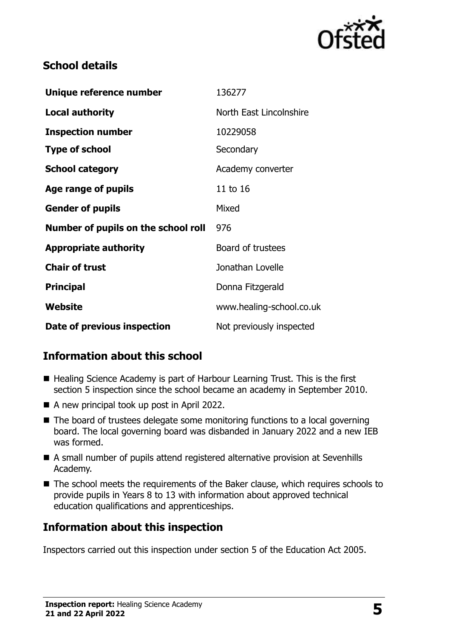

# **School details**

| Unique reference number             | 136277                   |
|-------------------------------------|--------------------------|
| <b>Local authority</b>              | North East Lincolnshire  |
| <b>Inspection number</b>            | 10229058                 |
| <b>Type of school</b>               | Secondary                |
| <b>School category</b>              | Academy converter        |
| Age range of pupils                 | 11 to 16                 |
| <b>Gender of pupils</b>             | Mixed                    |
| Number of pupils on the school roll | 976                      |
| <b>Appropriate authority</b>        | Board of trustees        |
| <b>Chair of trust</b>               | Jonathan Lovelle         |
| <b>Principal</b>                    | Donna Fitzgerald         |
| Website                             | www.healing-school.co.uk |
| Date of previous inspection         | Not previously inspected |

# **Information about this school**

- Healing Science Academy is part of Harbour Learning Trust. This is the first section 5 inspection since the school became an academy in September 2010.
- A new principal took up post in April 2022.
- The board of trustees delegate some monitoring functions to a local governing board. The local governing board was disbanded in January 2022 and a new IEB was formed.
- A small number of pupils attend registered alternative provision at Sevenhills Academy.
- The school meets the requirements of the Baker clause, which requires schools to provide pupils in Years 8 to 13 with information about approved technical education qualifications and apprenticeships.

# **Information about this inspection**

Inspectors carried out this inspection under section 5 of the Education Act 2005.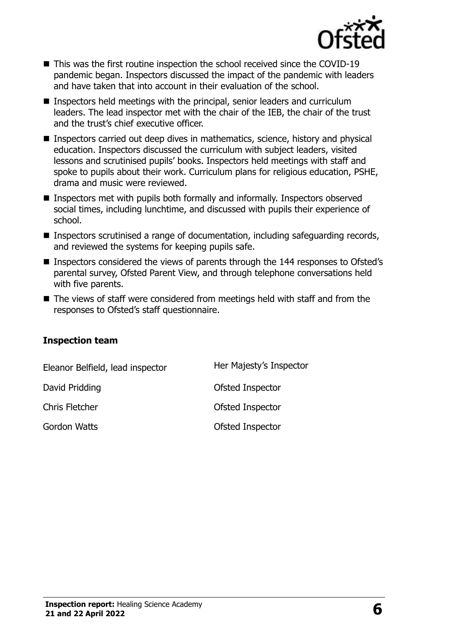

- This was the first routine inspection the school received since the COVID-19 pandemic began. Inspectors discussed the impact of the pandemic with leaders and have taken that into account in their evaluation of the school.
- Inspectors held meetings with the principal, senior leaders and curriculum leaders. The lead inspector met with the chair of the IEB, the chair of the trust and the trust's chief executive officer.
- Inspectors carried out deep dives in mathematics, science, history and physical education. Inspectors discussed the curriculum with subject leaders, visited lessons and scrutinised pupils' books. Inspectors held meetings with staff and spoke to pupils about their work. Curriculum plans for religious education, PSHE, drama and music were reviewed.
- Inspectors met with pupils both formally and informally. Inspectors observed social times, including lunchtime, and discussed with pupils their experience of school.
- Inspectors scrutinised a range of documentation, including safeguarding records, and reviewed the systems for keeping pupils safe.
- Inspectors considered the views of parents through the 144 responses to Ofsted's parental survey, Ofsted Parent View, and through telephone conversations held with five parents.
- The views of staff were considered from meetings held with staff and from the responses to Ofsted's staff questionnaire.

#### **Inspection team**

| Eleanor Belfield, lead inspector | Her Majesty's Inspector |
|----------------------------------|-------------------------|
| David Pridding                   | <b>Ofsted Inspector</b> |
| Chris Fletcher                   | <b>Ofsted Inspector</b> |
| Gordon Watts                     | Ofsted Inspector        |